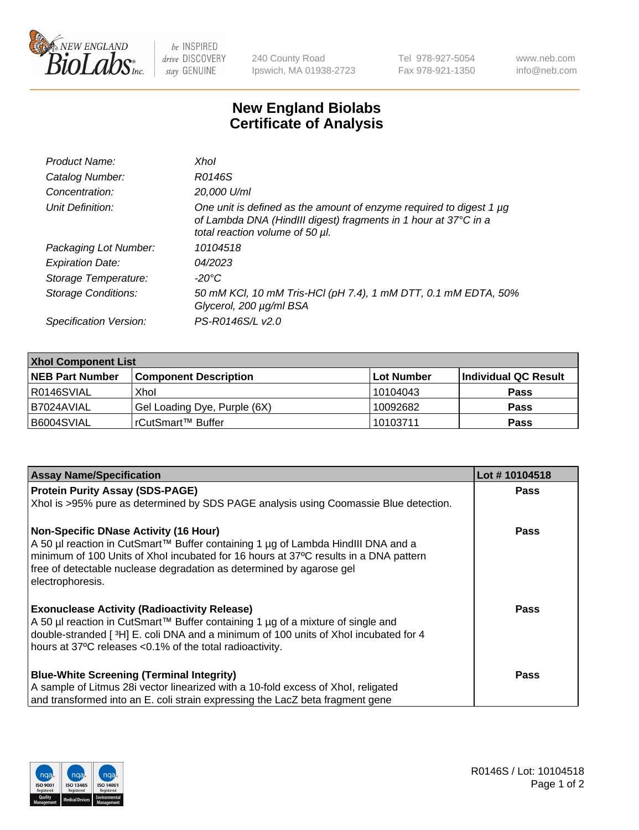

 $be$  INSPIRED drive DISCOVERY stay GENUINE

240 County Road Ipswich, MA 01938-2723 Tel 978-927-5054 Fax 978-921-1350 www.neb.com info@neb.com

## **New England Biolabs Certificate of Analysis**

| Product Name:              | Xhol                                                                                                                                                                      |
|----------------------------|---------------------------------------------------------------------------------------------------------------------------------------------------------------------------|
| Catalog Number:            | R0146S                                                                                                                                                                    |
| Concentration:             | 20,000 U/ml                                                                                                                                                               |
| Unit Definition:           | One unit is defined as the amount of enzyme required to digest 1 µg<br>of Lambda DNA (HindIII digest) fragments in 1 hour at 37°C in a<br>total reaction volume of 50 µl. |
| Packaging Lot Number:      | 10104518                                                                                                                                                                  |
| <b>Expiration Date:</b>    | 04/2023                                                                                                                                                                   |
| Storage Temperature:       | -20°C                                                                                                                                                                     |
| <b>Storage Conditions:</b> | 50 mM KCl, 10 mM Tris-HCl (pH 7.4), 1 mM DTT, 0.1 mM EDTA, 50%<br>Glycerol, 200 µg/ml BSA                                                                                 |
| Specification Version:     | PS-R0146S/L v2.0                                                                                                                                                          |

| <b>Xhol Component List</b> |                              |            |                      |  |  |
|----------------------------|------------------------------|------------|----------------------|--|--|
| <b>NEB Part Number</b>     | <b>Component Description</b> | Lot Number | Individual QC Result |  |  |
| R0146SVIAL                 | Xhol                         | 10104043   | <b>Pass</b>          |  |  |
| I B7024AVIAL               | Gel Loading Dye, Purple (6X) | 10092682   | <b>Pass</b>          |  |  |
| B6004SVIAL                 | rCutSmart™ Buffer            | 10103711   | <b>Pass</b>          |  |  |

| <b>Assay Name/Specification</b>                                                                                                                                                                                                                                                                                      | Lot #10104518 |
|----------------------------------------------------------------------------------------------------------------------------------------------------------------------------------------------------------------------------------------------------------------------------------------------------------------------|---------------|
| <b>Protein Purity Assay (SDS-PAGE)</b>                                                                                                                                                                                                                                                                               | <b>Pass</b>   |
| Xhol is >95% pure as determined by SDS PAGE analysis using Coomassie Blue detection.                                                                                                                                                                                                                                 |               |
| <b>Non-Specific DNase Activity (16 Hour)</b><br>A 50 µl reaction in CutSmart™ Buffer containing 1 µg of Lambda HindIII DNA and a<br>minimum of 100 Units of Xhol incubated for 16 hours at 37°C results in a DNA pattern<br>free of detectable nuclease degradation as determined by agarose gel<br>electrophoresis. | Pass          |
| <b>Exonuclease Activity (Radioactivity Release)</b><br>A 50 µl reaction in CutSmart™ Buffer containing 1 µg of a mixture of single and<br>double-stranded [3H] E. coli DNA and a minimum of 100 units of Xhol incubated for 4<br>hours at 37°C releases <0.1% of the total radioactivity.                            | Pass          |
| <b>Blue-White Screening (Terminal Integrity)</b><br>A sample of Litmus 28i vector linearized with a 10-fold excess of Xhol, religated<br>and transformed into an E. coli strain expressing the LacZ beta fragment gene                                                                                               | Pass          |